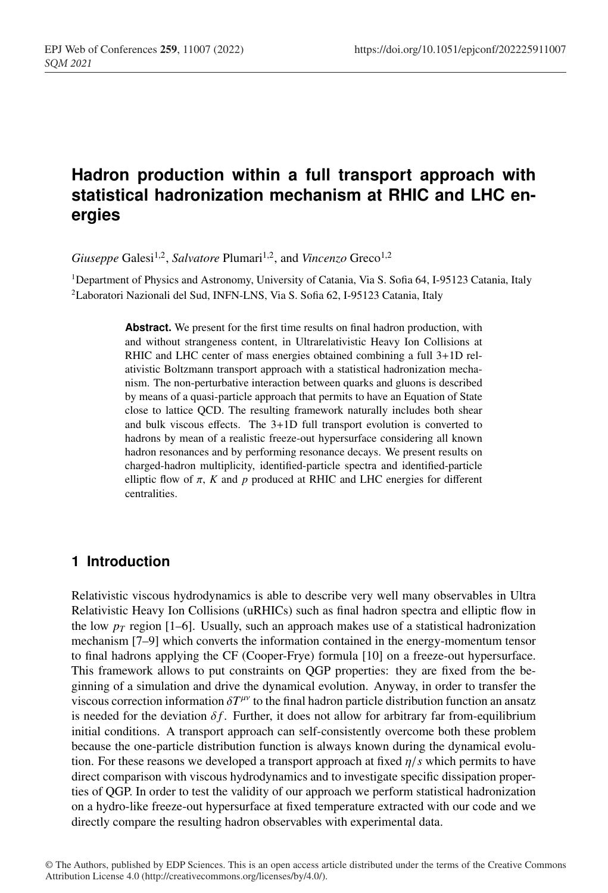# **Hadron production within a full transport approach with statistical hadronization mechanism at RHIC and LHC energies**

*Giuseppe* Galesi<sup>1,2</sup>, *Salvatore* Plumari<sup>1,2</sup>, and *Vincenzo* Greco<sup>1,2</sup>

<sup>1</sup>Department of Physics and Astronomy, University of Catania, Via S. Sofia 64, I-95123 Catania, Italy 2Laboratori Nazionali del Sud, INFN-LNS, Via S. Sofia 62, I-95123 Catania, Italy

> **Abstract.** We present for the first time results on final hadron production, with and without strangeness content, in Ultrarelativistic Heavy Ion Collisions at RHIC and LHC center of mass energies obtained combining a full 3+1D relativistic Boltzmann transport approach with a statistical hadronization mechanism. The non-perturbative interaction between quarks and gluons is described by means of a quasi-particle approach that permits to have an Equation of State close to lattice QCD. The resulting framework naturally includes both shear and bulk viscous effects. The 3+1D full transport evolution is converted to hadrons by mean of a realistic freeze-out hypersurface considering all known hadron resonances and by performing resonance decays. We present results on charged-hadron multiplicity, identified-particle spectra and identified-particle elliptic flow of  $\pi$ ,  $K$  and  $p$  produced at RHIC and LHC energies for different centralities.

## **1 Introduction**

Relativistic viscous hydrodynamics is able to describe very well many observables in Ultra Relativistic Heavy Ion Collisions (uRHICs) such as final hadron spectra and elliptic flow in the low  $p_T$  region [1–6]. Usually, such an approach makes use of a statistical hadronization mechanism [7–9] which converts the information contained in the energy-momentum tensor to final hadrons applying the CF (Cooper-Frye) formula [10] on a freeze-out hypersurface. This framework allows to put constraints on QGP properties: they are fixed from the beginning of a simulation and drive the dynamical evolution. Anyway, in order to transfer the viscous correction information  $\delta T^{\mu\nu}$  to the final hadron particle distribution function an ansatz is needed for the deviation  $\delta f$ . Further, it does not allow for arbitrary far from-equilibrium initial conditions. A transport approach can self-consistently overcome both these problem because the one-particle distribution function is always known during the dynamical evolution. For these reasons we developed a transport approach at fixed  $\eta/s$  which permits to have direct comparison with viscous hydrodynamics and to investigate specific dissipation properties of QGP. In order to test the validity of our approach we perform statistical hadronization on a hydro-like freeze-out hypersurface at fixed temperature extracted with our code and we directly compare the resulting hadron observables with experimental data.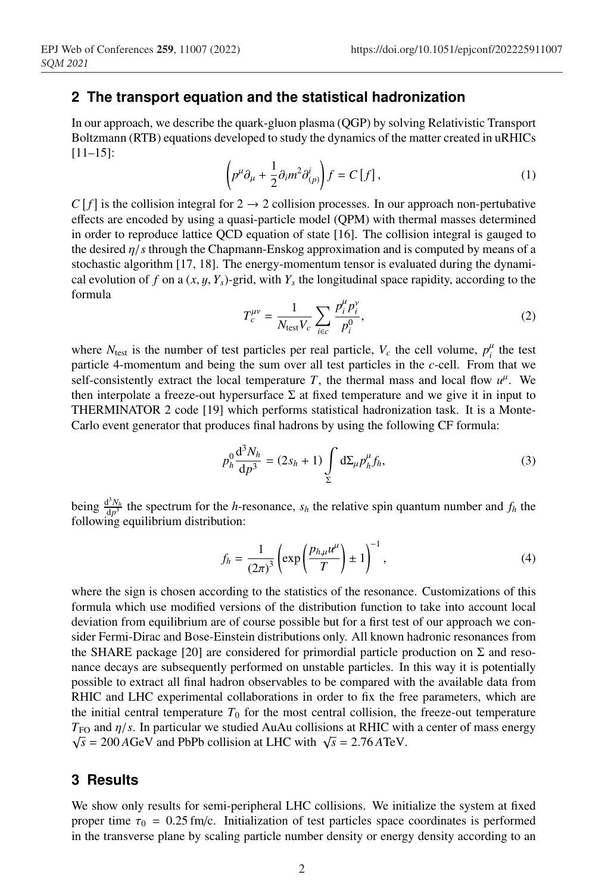#### **2 The transport equation and the statistical hadronization**

In our approach, we describe the quark-gluon plasma (QGP) by solving Relativistic Transport Boltzmann (RTB) equations developed to study the dynamics of the matter created in uRHICs [11–15]:

$$
\left(p^{\mu}\partial_{\mu} + \frac{1}{2}\partial_{i}m^{2}\partial_{(p)}^{i}\right)f = C[f],\tag{1}
$$

 $C[f]$  is the collision integral for  $2 \rightarrow 2$  collision processes. In our approach non-pertubative effects are encoded by using a quasi-particle model (QPM) with thermal masses determined in order to reproduce lattice QCD equation of state [16]. The collision integral is gauged to the desired η/*s* through the Chapmann-Enskog approximation and is computed by means of a stochastic algorithm [17, 18]. The energy-momentum tensor is evaluated during the dynamical evolution of *f* on a  $(x, y, Y_s)$ -grid, with  $Y_s$  the longitudinal space rapidity, according to the formula

$$
T_c^{\mu\nu} = \frac{1}{N_{\text{test}} V_c} \sum_{i \in c} \frac{p_i^{\mu} p_i^{\nu}}{p_i^0},
$$
 (2)

where  $N_{\text{test}}$  is the number of test particles per real particle,  $V_c$  the cell volume,  $p_i^{\mu}$  the test particle 4-momentum and being the sum over all test particles in the *c*-cell. From that we self-consistently extract the local temperature *T*, the thermal mass and local flow  $u^{\mu}$ . We then interpolate a freeze-out hypersurface  $\Sigma$  at fixed temperature and we give it in input to THERMINATOR 2 code [19] which performs statistical hadronization task. It is a Monte-Carlo event generator that produces final hadrons by using the following CF formula:

$$
p_h^0 \frac{d^3 N_h}{dp^3} = (2s_h + 1) \int_{\Sigma} d\Sigma_{\mu} p_h^{\mu} f_h,
$$
 (3)

being  $\frac{d^3N_h}{dp^3}$  the spectrum for the *h*-resonance,  $s_h$  the relative spin quantum number and  $f_h$  the following equilibrium distribution:

$$
f_h = \frac{1}{\left(2\pi\right)^3} \left( \exp\left(\frac{p_{h,\mu}u^{\mu}}{T}\right) \pm 1 \right)^{-1},\tag{4}
$$

where the sign is chosen according to the statistics of the resonance. Customizations of this formula which use modified versions of the distribution function to take into account local deviation from equilibrium are of course possible but for a first test of our approach we consider Fermi-Dirac and Bose-Einstein distributions only. All known hadronic resonances from the SHARE package [20] are considered for primordial particle production on  $\Sigma$  and resonance decays are subsequently performed on unstable particles. In this way it is potentially possible to extract all final hadron observables to be compared with the available data from RHIC and LHC experimental collaborations in order to fix the free parameters, which are the initial central temperature  $T_0$  for the most central collision, the freeze-out temperature  $T_{\rm FO}$  and  $\eta/s$ . In particular we studied AuAu collisions at RHIC with a center of mass energy  $\sqrt{s}$  = 200 *A*GeV and PbPb collision at LHC with  $\sqrt{s}$  = 2.76 *A*TeV.

#### **3 Results**

We show only results for semi-peripheral LHC collisions. We initialize the system at fixed proper time  $\tau_0 = 0.25$  fm/c. Initialization of test particles space coordinates is performed in the transverse plane by scaling particle number density or energy density according to an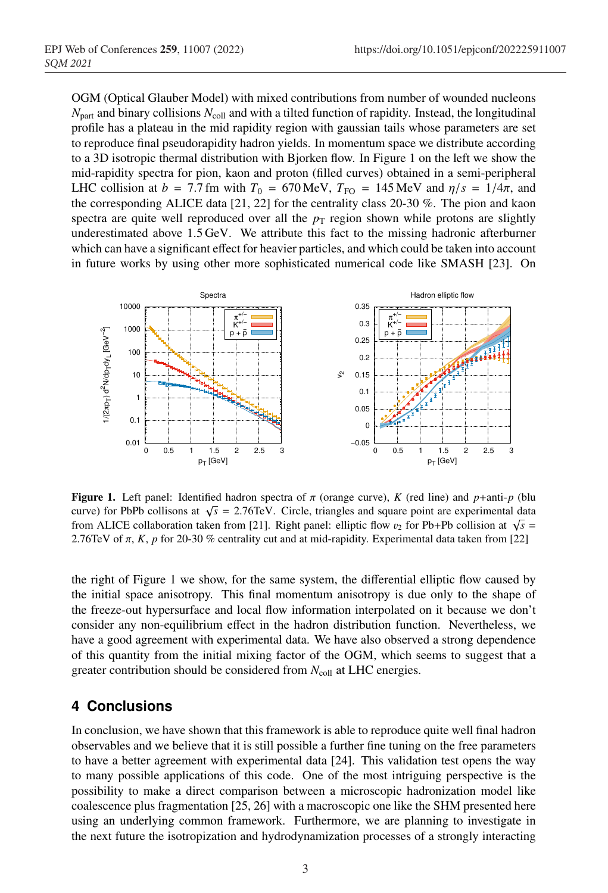OGM (Optical Glauber Model) with mixed contributions from number of wounded nucleons  $N<sub>part</sub>$  and binary collisions  $N<sub>coll</sub>$  and with a tilted function of rapidity. Instead, the longitudinal profile has a plateau in the mid rapidity region with gaussian tails whose parameters are set to reproduce final pseudorapidity hadron yields. In momentum space we distribute according to a 3D isotropic thermal distribution with Bjorken flow. In Figure 1 on the left we show the mid-rapidity spectra for pion, kaon and proton (filled curves) obtained in a semi-peripheral LHC collision at  $b = 7.7$  fm with  $T_0 = 670$  MeV,  $T_{\text{FO}} = 145$  MeV and  $\eta/s = 1/4\pi$ , and the corresponding ALICE data [21, 22] for the centrality class 20-30 %. The pion and kaon spectra are quite well reproduced over all the  $p<sub>T</sub>$  region shown while protons are slightly underestimated above 1.5 GeV. We attribute this fact to the missing hadronic afterburner which can have a significant effect for heavier particles, and which could be taken into account in future works by using other more sophisticated numerical code like SMASH [23]. On



**Figure 1.** Left panel: Identified hadron spectra of  $\pi$  (orange curve), *K* (red line) and *p*+anti-*p* (blu curve) for PbPb collisons at  $\sqrt{s}$  = 2.76TeV. Circle, triangles and square point are experimental data from ALICE collaboration taken from [21]. Right panel: elliptic flow  $v_2$  for Pb+Pb collision at  $\sqrt{s}$  = 2.76TeV of π, *K*, *p* for 20-30 % centrality cut and at mid-rapidity. Experimental data taken from [22]

the right of Figure 1 we show, for the same system, the differential elliptic flow caused by the initial space anisotropy. This final momentum anisotropy is due only to the shape of the freeze-out hypersurface and local flow information interpolated on it because we don't consider any non-equilibrium effect in the hadron distribution function. Nevertheless, we have a good agreement with experimental data. We have also observed a strong dependence of this quantity from the initial mixing factor of the OGM, which seems to suggest that a greater contribution should be considered from  $N_{\text{coll}}$  at LHC energies.

# **4 Conclusions**

In conclusion, we have shown that this framework is able to reproduce quite well final hadron observables and we believe that it is still possible a further fine tuning on the free parameters to have a better agreement with experimental data [24]. This validation test opens the way to many possible applications of this code. One of the most intriguing perspective is the possibility to make a direct comparison between a microscopic hadronization model like coalescence plus fragmentation [25, 26] with a macroscopic one like the SHM presented here using an underlying common framework. Furthermore, we are planning to investigate in the next future the isotropization and hydrodynamization processes of a strongly interacting